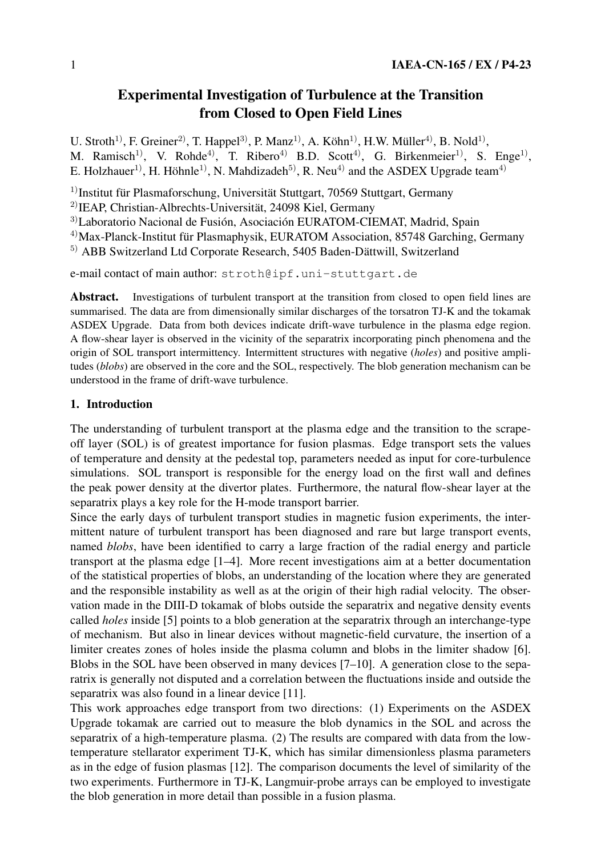# **Experimental Investigation of Turbulence at the Transition from Closed to Open Field Lines**

U. Stroth<sup>1)</sup>, F. Greiner<sup>2)</sup>, T. Happel<sup>3)</sup>, P. Manz<sup>1)</sup>, A. Köhn<sup>1)</sup>, H.W. Müller<sup>4)</sup>, B. Nold<sup>1)</sup>, M. Ramisch<sup>1)</sup>, V. Rohde<sup>4)</sup>, T. Ribero<sup>4)</sup> B.D. Scott<sup>4)</sup>, G. Birkenmeier<sup>1)</sup>, S. Enge<sup>1)</sup>, E. Holzhauer<sup>1)</sup>, H. Höhnle<sup>1)</sup>, N. Mahdizadeh<sup>5)</sup>, R. Neu<sup>4)</sup> and the ASDEX Upgrade team<sup>4)</sup>

 $1)$ Institut für Plasmaforschung, Universität Stuttgart, 70569 Stuttgart, Germany

 $^{2)}$ IEAP, Christian-Albrechts-Universität, 24098 Kiel, Germany

3)Laboratorio Nacional de Fusión, Asociación EURATOM-CIEMAT, Madrid, Spain

<sup>4)</sup>Max-Planck-Institut für Plasmaphysik, EURATOM Association, 85748 Garching, Germany

 $5)$  ABB Switzerland Ltd Corporate Research, 5405 Baden-Dättwill, Switzerland

e-mail contact of main author: stroth@ipf.uni-stuttgart.de

**Abstract.** Investigations of turbulent transport at the transition from closed to open field lines are summarised. The data are from dimensionally similar discharges of the torsatron TJ-K and the tokamak ASDEX Upgrade. Data from both devices indicate drift-wave turbulence in the plasma edge region. A flow-shear layer is observed in the vicinity of the separatrix incorporating pinch phenomena and the origin of SOL transport intermittency. Intermittent structures with negative (*holes*) and positive amplitudes (*blobs*) are observed in the core and the SOL, respectively. The blob generation mechanism can be understood in the frame of drift-wave turbulence.

## **1. Introduction**

The understanding of turbulent transport at the plasma edge and the transition to the scrapeoff layer (SOL) is of greatest importance for fusion plasmas. Edge transport sets the values of temperature and density at the pedestal top, parameters needed as input for core-turbulence simulations. SOL transport is responsible for the energy load on the first wall and defines the peak power density at the divertor plates. Furthermore, the natural flow-shear layer at the separatrix plays a key role for the H-mode transport barrier.

Since the early days of turbulent transport studies in magnetic fusion experiments, the intermittent nature of turbulent transport has been diagnosed and rare but large transport events, named *blobs*, have been identified to carry a large fraction of the radial energy and particle transport at the plasma edge [1–4]. More recent investigations aim at a better documentation of the statistical properties of blobs, an understanding of the location where they are generated and the responsible instability as well as at the origin of their high radial velocity. The observation made in the DIII-D tokamak of blobs outside the separatrix and negative density events called *holes* inside [5] points to a blob generation at the separatrix through an interchange-type of mechanism. But also in linear devices without magnetic-field curvature, the insertion of a limiter creates zones of holes inside the plasma column and blobs in the limiter shadow [6]. Blobs in the SOL have been observed in many devices [7–10]. A generation close to the separatrix is generally not disputed and a correlation between the fluctuations inside and outside the separatrix was also found in a linear device [11].

This work approaches edge transport from two directions: (1) Experiments on the ASDEX Upgrade tokamak are carried out to measure the blob dynamics in the SOL and across the separatrix of a high-temperature plasma. (2) The results are compared with data from the lowtemperature stellarator experiment TJ-K, which has similar dimensionless plasma parameters as in the edge of fusion plasmas [12]. The comparison documents the level of similarity of the two experiments. Furthermore in TJ-K, Langmuir-probe arrays can be employed to investigate the blob generation in more detail than possible in a fusion plasma.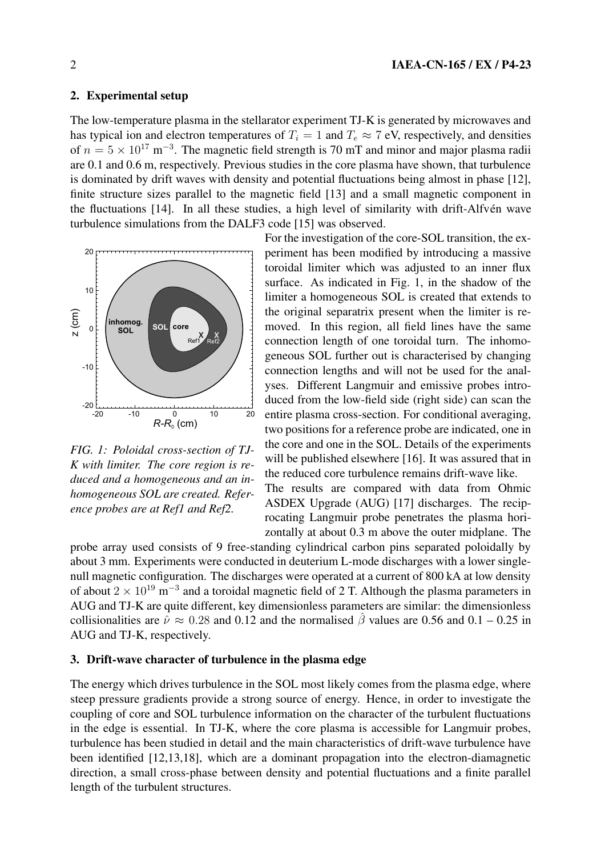## **2. Experimental setup**

The low-temperature plasma in the stellarator experiment TJ-K is generated by microwaves and has typical ion and electron temperatures of  $T_i = 1$  and  $T_e \approx 7$  eV, respectively, and densities of  $n = 5 \times 10^{17}$  m<sup>-3</sup>. The magnetic field strength is 70 mT and minor and major plasma radii are 0.1 and 0.6 m, respectively. Previous studies in the core plasma have shown, that turbulence is dominated by drift waves with density and potential fluctuations being almost in phase [12], finite structure sizes parallel to the magnetic field [13] and a small magnetic component in the fluctuations [14]. In all these studies, a high level of similarity with drift-Alfvén wave turbulence simulations from the DALF3 code [15] was observed.



*FIG. 1: Poloidal cross-section of TJ-K with limiter. The core region is reduced and a homogeneous and an inhomogeneous SOL are created. Reference probes are at Ref1 and Ref2.*

For the investigation of the core-SOL transition, the experiment has been modified by introducing a massive toroidal limiter which was adjusted to an inner flux surface. As indicated in Fig. 1, in the shadow of the limiter a homogeneous SOL is created that extends to the original separatrix present when the limiter is removed. In this region, all field lines have the same connection length of one toroidal turn. The inhomogeneous SOL further out is characterised by changing connection lengths and will not be used for the analyses. Different Langmuir and emissive probes introduced from the low-field side (right side) can scan the entire plasma cross-section. For conditional averaging, two positions for a reference probe are indicated, one in the core and one in the SOL. Details of the experiments will be published elsewhere [16]. It was assured that in the reduced core turbulence remains drift-wave like. The results are compared with data from Ohmic ASDEX Upgrade (AUG) [17] discharges. The reciprocating Langmuir probe penetrates the plasma hori-

zontally at about 0.3 m above the outer midplane. The

probe array used consists of 9 free-standing cylindrical carbon pins separated poloidally by about 3 mm. Experiments were conducted in deuterium L-mode discharges with a lower singlenull magnetic configuration. The discharges were operated at a current of 800 kA at low density of about  $2 \times 10^{19}$  m<sup>-3</sup> and a toroidal magnetic field of 2 T. Although the plasma parameters in AUG and TJ-K are quite different, key dimensionless parameters are similar: the dimensionless collisionalities are  $\hat{\nu} \approx 0.28$  and 0.12 and the normalised  $\hat{\beta}$  values are 0.56 and 0.1 – 0.25 in AUG and TJ-K, respectively.

#### **3. Drift-wave character of turbulence in the plasma edge**

The energy which drives turbulence in the SOL most likely comes from the plasma edge, where steep pressure gradients provide a strong source of energy. Hence, in order to investigate the coupling of core and SOL turbulence information on the character of the turbulent fluctuations in the edge is essential. In TJ-K, where the core plasma is accessible for Langmuir probes, turbulence has been studied in detail and the main characteristics of drift-wave turbulence have been identified [12,13,18], which are a dominant propagation into the electron-diamagnetic direction, a small cross-phase between density and potential fluctuations and a finite parallel length of the turbulent structures.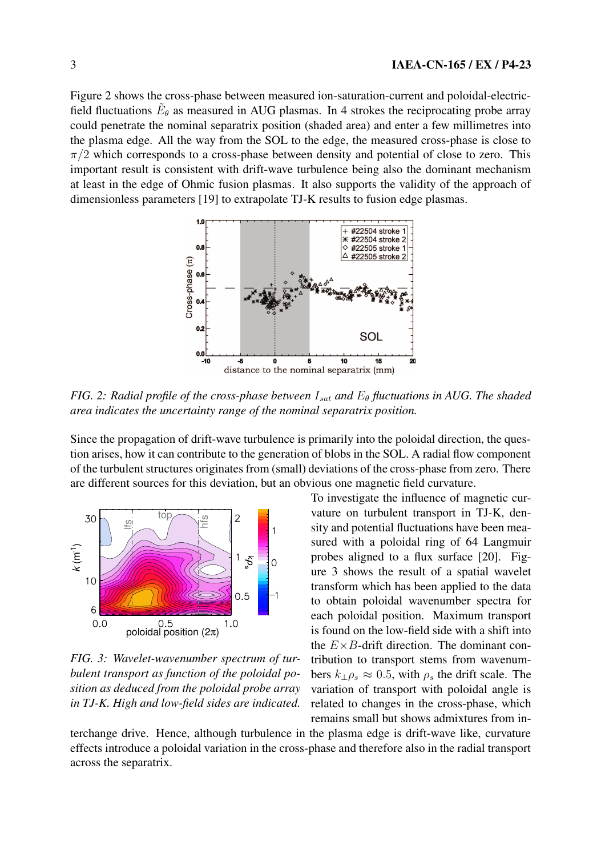Figure 2 shows the cross-phase between measured ion-saturation-current and poloidal-electricfield fluctuations  $\tilde{E}_{\theta}$  as measured in AUG plasmas. In 4 strokes the reciprocating probe array could penetrate the nominal separatrix position (shaded area) and enter a few millimetres into the plasma edge. All the way from the SOL to the edge, the measured cross-phase is close to  $\pi/2$  which corresponds to a cross-phase between density and potential of close to zero. This important result is consistent with drift-wave turbulence being also the dominant mechanism at least in the edge of Ohmic fusion plasmas. It also supports the validity of the approach of dimensionless parameters [19] to extrapolate TJ-K results to fusion edge plasmas.



*FIG.* 2: *Radial profile of the cross-phase between*  $I_{sat}$  *and*  $E_{\theta}$  *fluctuations in* AUG. The *shaded area indicates the uncertainty range of the nominal separatrix position.*

Since the propagation of drift-wave turbulence is primarily into the poloidal direction, the question arises, how it can contribute to the generation of blobs in the SOL. A radial flow component of the turbulent structures originates from (small) deviations of the cross-phase from zero. There are different sources for this deviation, but an obvious one magnetic field curvature.



*FIG. 3: Wavelet-wavenumber spectrum of turbulent transport as function of the poloidal position as deduced from the poloidal probe array in TJ-K. High and low-field sides are indicated.*

To investigate the influence of magnetic curvature on turbulent transport in TJ-K, density and potential fluctuations have been measured with a poloidal ring of 64 Langmuir probes aligned to a flux surface [20]. Figure 3 shows the result of a spatial wavelet transform which has been applied to the data to obtain poloidal wavenumber spectra for each poloidal position. Maximum transport is found on the low-field side with a shift into the  $E \times B$ -drift direction. The dominant contribution to transport stems from wavenumbers  $k_{\perp} \rho_s \approx 0.5$ , with  $\rho_s$  the drift scale. The variation of transport with poloidal angle is related to changes in the cross-phase, which remains small but shows admixtures from in-

terchange drive. Hence, although turbulence in the plasma edge is drift-wave like, curvature effects introduce a poloidal variation in the cross-phase and therefore also in the radial transport across the separatrix.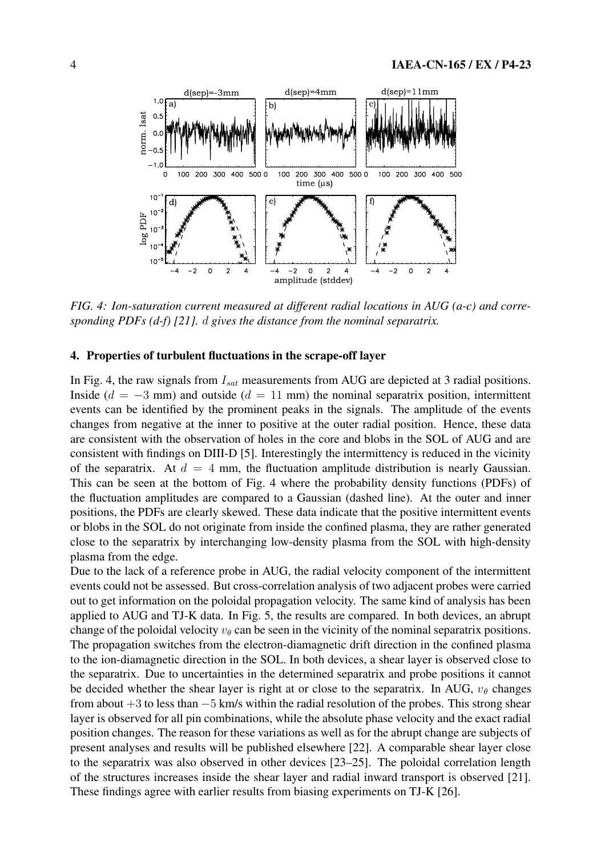

*FIG. 4: Ion-saturation current measured at different radial locations in AUG (a-c) and corresponding PDFs (d-f) [21].* d *gives the distance from the nominal separatrix.*

### **4. Properties of turbulent fluctuations in the scrape-off layer**

In Fig. 4, the raw signals from  $I_{sat}$  measurements from AUG are depicted at 3 radial positions. Inside ( $d = -3$  mm) and outside ( $d = 11$  mm) the nominal separatrix position, intermittent events can be identified by the prominent peaks in the signals. The amplitude of the events changes from negative at the inner to positive at the outer radial position. Hence, these data are consistent with the observation of holes in the core and blobs in the SOL of AUG and are consistent with findings on DIII-D [5]. Interestingly the intermittency is reduced in the vicinity of the separatrix. At  $d = 4$  mm, the fluctuation amplitude distribution is nearly Gaussian. This can be seen at the bottom of Fig. 4 where the probability density functions (PDFs) of the fluctuation amplitudes are compared to a Gaussian (dashed line). At the outer and inner positions, the PDFs are clearly skewed. These data indicate that the positive intermittent events or blobs in the SOL do not originate from inside the confined plasma, they are rather generated close to the separatrix by interchanging low-density plasma from the SOL with high-density plasma from the edge.

Due to the lack of a reference probe in AUG, the radial velocity component of the intermittent events could not be assessed. But cross-correlation analysis of two adjacent probes were carried out to get information on the poloidal propagation velocity. The same kind of analysis has been applied to AUG and TJ-K data. In Fig. 5, the results are compared. In both devices, an abrupt change of the poloidal velocity  $v_{\theta}$  can be seen in the vicinity of the nominal separatrix positions. The propagation switches from the electron-diamagnetic drift direction in the confined plasma to the ion-diamagnetic direction in the SOL. In both devices, a shear layer is observed close to the separatrix. Due to uncertainties in the determined separatrix and probe positions it cannot be decided whether the shear layer is right at or close to the separatrix. In AUG,  $v_{\theta}$  changes from about +3 to less than −5 km/s within the radial resolution of the probes. This strong shear layer is observed for all pin combinations, while the absolute phase velocity and the exact radial position changes. The reason for these variations as well as for the abrupt change are subjects of present analyses and results will be published elsewhere [22]. A comparable shear layer close to the separatrix was also observed in other devices [23–25]. The poloidal correlation length of the structures increases inside the shear layer and radial inward transport is observed [21]. These findings agree with earlier results from biasing experiments on TJ-K [26].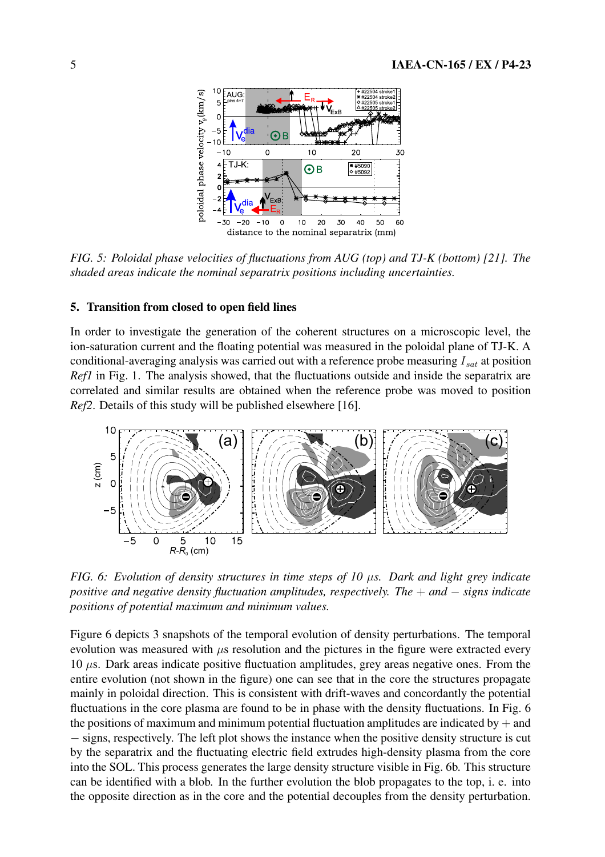

*FIG. 5: Poloidal phase velocities of fluctuations from AUG (top) and TJ-K (bottom) [21]. The shaded areas indicate the nominal separatrix positions including uncertainties.*

#### **5. Transition from closed to open field lines**

In order to investigate the generation of the coherent structures on a microscopic level, the ion-saturation current and the floating potential was measured in the poloidal plane of TJ-K. A conditional-averaging analysis was carried out with a reference probe measuring  $I_{sat}$  at position *Ref1* in Fig. 1. The analysis showed, that the fluctuations outside and inside the separatrix are correlated and similar results are obtained when the reference probe was moved to position *Ref2*. Details of this study will be published elsewhere [16].



*FIG. 6: Evolution of density structures in time steps of 10* µ*s. Dark and light grey indicate positive and negative density fluctuation amplitudes, respectively. The* + *and* − *signs indicate positions of potential maximum and minimum values.*

Figure 6 depicts 3 snapshots of the temporal evolution of density perturbations. The temporal evolution was measured with  $\mu$ s resolution and the pictures in the figure were extracted every 10  $\mu$ s. Dark areas indicate positive fluctuation amplitudes, grey areas negative ones. From the entire evolution (not shown in the figure) one can see that in the core the structures propagate mainly in poloidal direction. This is consistent with drift-waves and concordantly the potential fluctuations in the core plasma are found to be in phase with the density fluctuations. In Fig. 6 the positions of maximum and minimum potential fluctuation amplitudes are indicated by  $+$  and − signs, respectively. The left plot shows the instance when the positive density structure is cut by the separatrix and the fluctuating electric field extrudes high-density plasma from the core into the SOL. This process generates the large density structure visible in Fig. 6b. This structure can be identified with a blob. In the further evolution the blob propagates to the top, i. e. into the opposite direction as in the core and the potential decouples from the density perturbation.